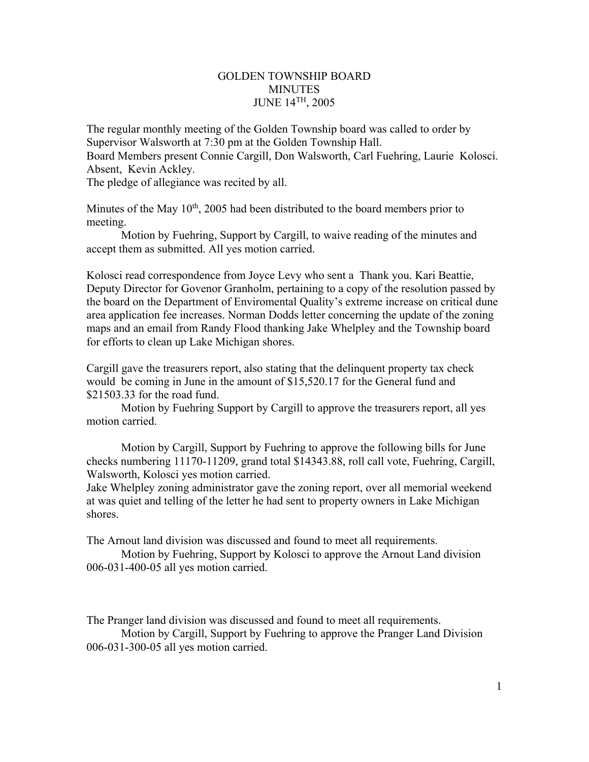#### GOLDEN TOWNSHIP BOARD **MINUTES** JUNE 14TH, 2005

The regular monthly meeting of the Golden Township board was called to order by Supervisor Walsworth at 7:30 pm at the Golden Township Hall. Board Members present Connie Cargill, Don Walsworth, Carl Fuehring, Laurie Kolosci. Absent, Kevin Ackley. The pledge of allegiance was recited by all.

Minutes of the May  $10^{th}$ , 2005 had been distributed to the board members prior to meeting.

 Motion by Fuehring, Support by Cargill, to waive reading of the minutes and accept them as submitted. All yes motion carried.

Kolosci read correspondence from Joyce Levy who sent a Thank you. Kari Beattie, Deputy Director for Govenor Granholm, pertaining to a copy of the resolution passed by the board on the Department of Enviromental Quality's extreme increase on critical dune area application fee increases. Norman Dodds letter concerning the update of the zoning maps and an email from Randy Flood thanking Jake Whelpley and the Township board for efforts to clean up Lake Michigan shores.

Cargill gave the treasurers report, also stating that the delinquent property tax check would be coming in June in the amount of \$15,520.17 for the General fund and \$21503.33 for the road fund.

 Motion by Fuehring Support by Cargill to approve the treasurers report, all yes motion carried.

Motion by Cargill, Support by Fuehring to approve the following bills for June checks numbering 11170-11209, grand total \$14343.88, roll call vote, Fuehring, Cargill, Walsworth, Kolosci yes motion carried.

Jake Whelpley zoning administrator gave the zoning report, over all memorial weekend at was quiet and telling of the letter he had sent to property owners in Lake Michigan shores.

The Arnout land division was discussed and found to meet all requirements.

 Motion by Fuehring, Support by Kolosci to approve the Arnout Land division 006-031-400-05 all yes motion carried.

The Pranger land division was discussed and found to meet all requirements.

 Motion by Cargill, Support by Fuehring to approve the Pranger Land Division 006-031-300-05 all yes motion carried.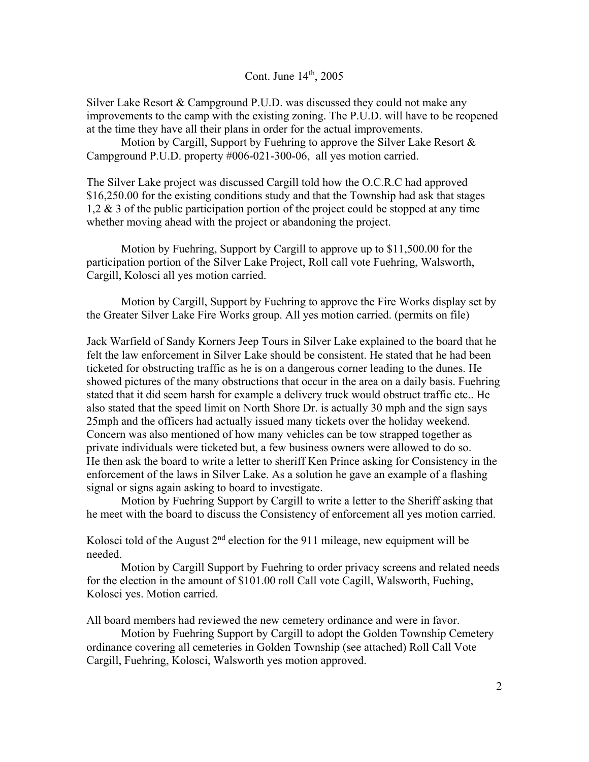Cont. June 14<sup>th</sup>, 2005

Silver Lake Resort & Campground P.U.D. was discussed they could not make any improvements to the camp with the existing zoning. The P.U.D. will have to be reopened at the time they have all their plans in order for the actual improvements.

Motion by Cargill, Support by Fuehring to approve the Silver Lake Resort  $\&$ Campground P.U.D. property #006-021-300-06, all yes motion carried.

The Silver Lake project was discussed Cargill told how the O.C.R.C had approved \$16,250.00 for the existing conditions study and that the Township had ask that stages 1,2 & 3 of the public participation portion of the project could be stopped at any time whether moving ahead with the project or abandoning the project.

 Motion by Fuehring, Support by Cargill to approve up to \$11,500.00 for the participation portion of the Silver Lake Project, Roll call vote Fuehring, Walsworth, Cargill, Kolosci all yes motion carried.

 Motion by Cargill, Support by Fuehring to approve the Fire Works display set by the Greater Silver Lake Fire Works group. All yes motion carried. (permits on file)

Jack Warfield of Sandy Korners Jeep Tours in Silver Lake explained to the board that he felt the law enforcement in Silver Lake should be consistent. He stated that he had been ticketed for obstructing traffic as he is on a dangerous corner leading to the dunes. He showed pictures of the many obstructions that occur in the area on a daily basis. Fuehring stated that it did seem harsh for example a delivery truck would obstruct traffic etc.. He also stated that the speed limit on North Shore Dr. is actually 30 mph and the sign says 25mph and the officers had actually issued many tickets over the holiday weekend. Concern was also mentioned of how many vehicles can be tow strapped together as private individuals were ticketed but, a few business owners were allowed to do so. He then ask the board to write a letter to sheriff Ken Prince asking for Consistency in the enforcement of the laws in Silver Lake. As a solution he gave an example of a flashing signal or signs again asking to board to investigate.

 Motion by Fuehring Support by Cargill to write a letter to the Sheriff asking that he meet with the board to discuss the Consistency of enforcement all yes motion carried.

Kolosci told of the August  $2<sup>nd</sup>$  election for the 911 mileage, new equipment will be needed.

 Motion by Cargill Support by Fuehring to order privacy screens and related needs for the election in the amount of \$101.00 roll Call vote Cagill, Walsworth, Fuehing, Kolosci yes. Motion carried.

All board members had reviewed the new cemetery ordinance and were in favor.

 Motion by Fuehring Support by Cargill to adopt the Golden Township Cemetery ordinance covering all cemeteries in Golden Township (see attached) Roll Call Vote Cargill, Fuehring, Kolosci, Walsworth yes motion approved.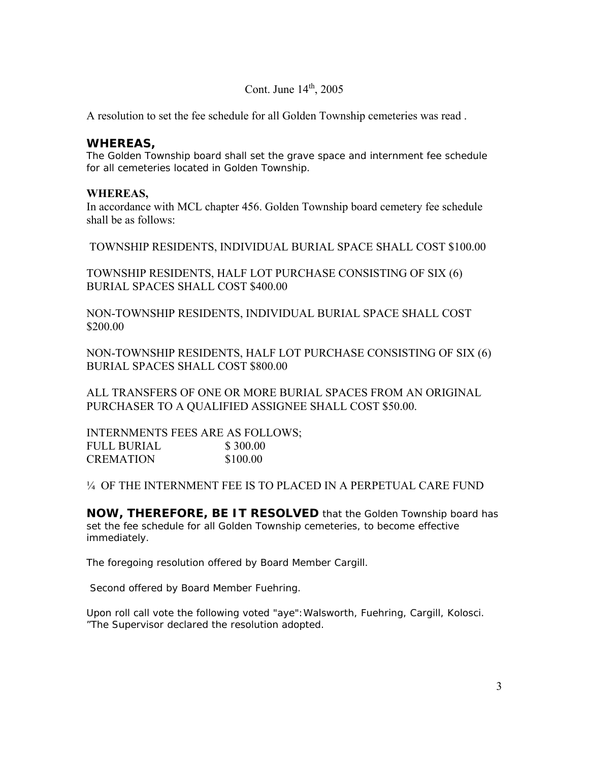## Cont. June  $14<sup>th</sup>$ , 2005

A resolution to set the fee schedule for all Golden Township cemeteries was read .

### **WHEREAS,**

The Golden Township board shall set the grave space and internment fee schedule for all cemeteries located in Golden Township.

#### **WHEREAS,**

In accordance with MCL chapter 456. Golden Township board cemetery fee schedule shall be as follows:

TOWNSHIP RESIDENTS, INDIVIDUAL BURIAL SPACE SHALL COST \$100.00

TOWNSHIP RESIDENTS, HALF LOT PURCHASE CONSISTING OF SIX (6) BURIAL SPACES SHALL COST \$400.00

NON-TOWNSHIP RESIDENTS, INDIVIDUAL BURIAL SPACE SHALL COST \$200.00

NON-TOWNSHIP RESIDENTS, HALF LOT PURCHASE CONSISTING OF SIX (6) BURIAL SPACES SHALL COST \$800.00

ALL TRANSFERS OF ONE OR MORE BURIAL SPACES FROM AN ORIGINAL PURCHASER TO A QUALIFIED ASSIGNEE SHALL COST \$50.00.

INTERNMENTS FEES ARE AS FOLLOWS; FULL BURIAL \$300.00 CREMATION \$100.00

¼ OF THE INTERNMENT FEE IS TO PLACED IN A PERPETUAL CARE FUND

**NOW, THEREFORE, BE IT RESOLVED** that the Golden Township board has set the fee schedule for all Golden Township cemeteries, to become effective immediately.

The foregoing resolution offered by Board Member Cargill.

Second offered by Board Member Fuehring.

Upon roll call vote the following voted "aye":Walsworth, Fuehring, Cargill, Kolosci. "The Supervisor declared the resolution adopted.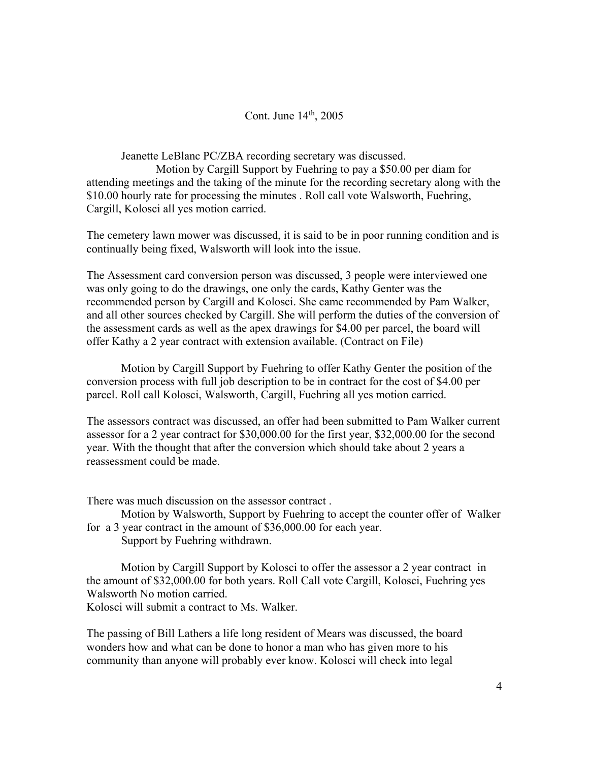# Cont. June  $14<sup>th</sup>$ , 2005

Jeanette LeBlanc PC/ZBA recording secretary was discussed.

 Motion by Cargill Support by Fuehring to pay a \$50.00 per diam for attending meetings and the taking of the minute for the recording secretary along with the \$10.00 hourly rate for processing the minutes . Roll call vote Walsworth, Fuehring, Cargill, Kolosci all yes motion carried.

The cemetery lawn mower was discussed, it is said to be in poor running condition and is continually being fixed, Walsworth will look into the issue.

The Assessment card conversion person was discussed, 3 people were interviewed one was only going to do the drawings, one only the cards, Kathy Genter was the recommended person by Cargill and Kolosci. She came recommended by Pam Walker, and all other sources checked by Cargill. She will perform the duties of the conversion of the assessment cards as well as the apex drawings for \$4.00 per parcel, the board will offer Kathy a 2 year contract with extension available. (Contract on File)

 Motion by Cargill Support by Fuehring to offer Kathy Genter the position of the conversion process with full job description to be in contract for the cost of \$4.00 per parcel. Roll call Kolosci, Walsworth, Cargill, Fuehring all yes motion carried.

The assessors contract was discussed, an offer had been submitted to Pam Walker current assessor for a 2 year contract for \$30,000.00 for the first year, \$32,000.00 for the second year. With the thought that after the conversion which should take about 2 years a reassessment could be made.

There was much discussion on the assessor contract .

 Motion by Walsworth, Support by Fuehring to accept the counter offer of Walker for a 3 year contract in the amount of \$36,000.00 for each year.

Support by Fuehring withdrawn.

 Motion by Cargill Support by Kolosci to offer the assessor a 2 year contract in the amount of \$32,000.00 for both years. Roll Call vote Cargill, Kolosci, Fuehring yes Walsworth No motion carried.

Kolosci will submit a contract to Ms. Walker.

The passing of Bill Lathers a life long resident of Mears was discussed, the board wonders how and what can be done to honor a man who has given more to his community than anyone will probably ever know. Kolosci will check into legal